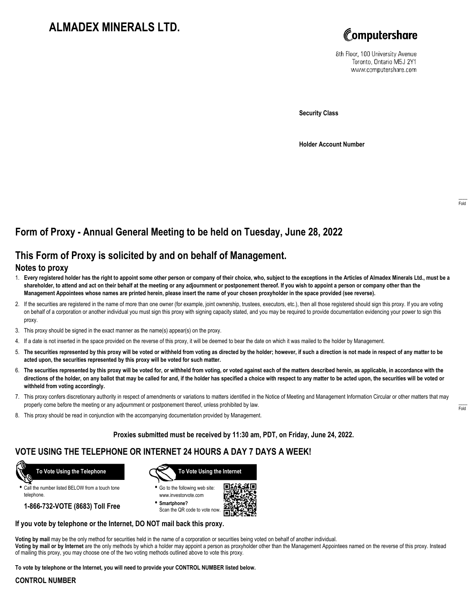# **ALMADEX MINERALS LTD.**



8th Floor, 100 University Avenue Toronto, Ontario M5J 2Y1 www.computershare.com

**Security Class**

**Holder Account Number**

## **Form of Proxy - Annual General Meeting to be held on Tuesday, June 28, 2022**

### **This Form of Proxy is solicited by and on behalf of Management.**

#### **Notes to proxy**

- 1. **Every registered holder has the right to appoint some other person or company of their choice, who, subject to the exceptions in the Articles of Almadex Minerals Ltd., must be a shareholder, to attend and act on their behalf at the meeting or any adjournment or postponement thereof. If you wish to appoint a person or company other than the Management Appointees whose names are printed herein, please insert the name of your chosen proxyholder in the space provided (see reverse).**
- 2. If the securities are registered in the name of more than one owner (for example, joint ownership, trustees, executors, etc.), then all those registered should sign this proxy. If you are voting on behalf of a corporation or another individual you must sign this proxy with signing capacity stated, and you may be required to provide documentation evidencing your power to sign this proxy.
- 3. This proxy should be signed in the exact manner as the name(s) appear(s) on the proxy.
- 4. If a date is not inserted in the space provided on the reverse of this proxy, it will be deemed to bear the date on which it was mailed to the holder by Management.
- 5. **The securities represented by this proxy will be voted or withheld from voting as directed by the holder; however, if such a direction is not made in respect of any matter to be acted upon, the securities represented by this proxy will be voted for such matter.**
- 6. **The securities represented by this proxy will be voted for, or withheld from voting, or voted against each of the matters described herein, as applicable, in accordance with the directions of the holder, on any ballot that may be called for and, if the holder has specified a choice with respect to any matter to be acted upon, the securities will be voted or withheld from voting accordingly.**
- 7. This proxy confers discretionary authority in respect of amendments or variations to matters identified in the Notice of Meeting and Management Information Circular or other matters that may properly come before the meeting or any adjournment or postponement thereof, unless prohibited by law.
- 8. This proxy should be read in conjunction with the accompanying documentation provided by Management.

**Proxies submitted must be received by 11:30 am, PDT, on Friday, June 24, 2022.**

### **VOTE USING THE TELEPHONE OR INTERNET 24 HOURS A DAY 7 DAYS A WEEK!**



**•** Call the number listed BELOW from a touch tone telephone.

**1-866-732-VOTE (8683) Toll Free**



**•** Go to the following web site: www.investorvote.com

**• Smartphone?** Scan the QR code to vote now.



#### **If you vote by telephone or the Internet, DO NOT mail back this proxy.**

**Voting by mail** may be the only method for securities held in the name of a corporation or securities being voted on behalf of another individual.

**Voting by mail or by Internet** are the only methods by which a holder may appoint a person as proxyholder other than the Management Appointees named on the reverse of this proxy. Instead of mailing this proxy, you may choose one of the two voting methods outlined above to vote this proxy.

**To vote by telephone or the Internet, you will need to provide your CONTROL NUMBER listed below.**

#### **CONTROL NUMBER**